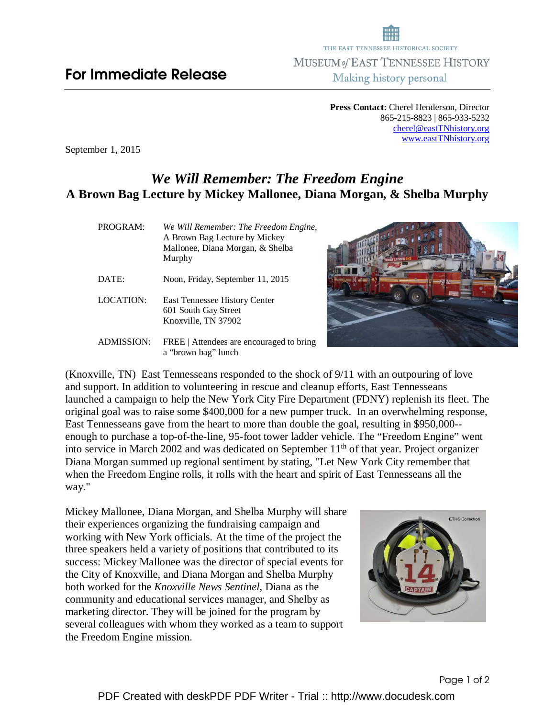**Press Contact:** Cherel Henderson, Director 865-215-8823 | 865-933-5232 cherel@eastTNhistory.org www.eastTNhistory.org

September 1, 2015

## *We Will Remember: The Freedom Engine*  **A Brown Bag Lecture by Mickey Mallonee, Diana Morgan, & Shelba Murphy**

| PROGRAM:          | We Will Remember: The Freedom Engine,<br>A Brown Bag Lecture by Mickey<br>Mallonee, Diana Morgan, & Shelba<br>Murphy |
|-------------------|----------------------------------------------------------------------------------------------------------------------|
| DATE:             | Noon, Friday, September 11, 2015                                                                                     |
| LOCATION:         | East Tennessee History Center<br>601 South Gay Street<br>Knoxville, TN 37902                                         |
| <b>ADMISSION:</b> | FREE   Attendees are encouraged to bring<br>a "brown bag" lunch                                                      |



(Knoxville, TN) East Tennesseans responded to the shock of 9/11 with an outpouring of love and support. In addition to volunteering in rescue and cleanup efforts, East Tennesseans launched a campaign to help the New York City Fire Department (FDNY) replenish its fleet. The original goal was to raise some \$400,000 for a new pumper truck. In an overwhelming response, East Tennesseans gave from the heart to more than double the goal, resulting in \$950,000- enough to purchase a top-of-the-line, 95-foot tower ladder vehicle. The "Freedom Engine" went into service in March 2002 and was dedicated on September  $11<sup>th</sup>$  of that year. Project organizer Diana Morgan summed up regional sentiment by stating, "Let New York City remember that when the Freedom Engine rolls, it rolls with the heart and spirit of East Tennesseans all the way."

Mickey Mallonee, Diana Morgan, and Shelba Murphy will share their experiences organizing the fundraising campaign and working with New York officials. At the time of the project the three speakers held a variety of positions that contributed to its success: Mickey Mallonee was the director of special events for the City of Knoxville, and Diana Morgan and Shelba Murphy both worked for the *Knoxville News Sentinel,* Diana as the community and educational services manager, and Shelby as marketing director. They will be joined for the program by several colleagues with whom they worked as a team to support the Freedom Engine mission.